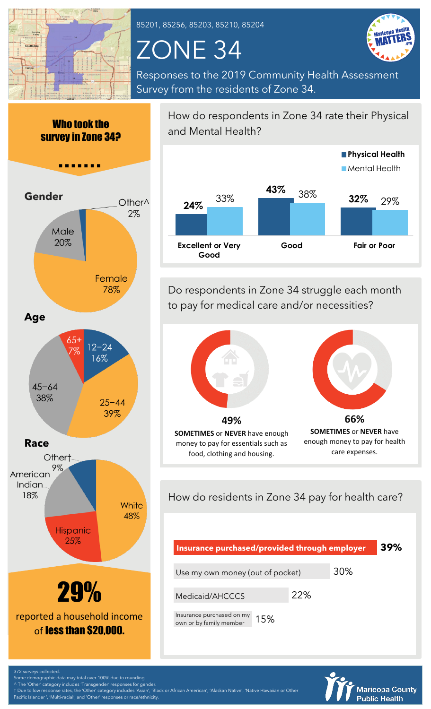

85201, 85256, 85203, 85210, 85204

# ZONE 34



Responses to the 2019 Community Health Assessment Survey from the residents of Zone 34.



How do respondents in Zone 34 rate their Physical and Mental Health?



Do respondents in Zone 34 struggle each month to pay for medical care and/or necessities?



money to pay for essentials such as food, clothing and housing.

**SOMETIMES** or **NEVER** have enough money to pay for health care expenses.

How do residents in Zone 34 pay for health care?

| Insurance purchased/provided through employer               |     |     | 39% |
|-------------------------------------------------------------|-----|-----|-----|
| Use my own money (out of pocket)                            |     | 30% |     |
| Medicaid/AHCCCS                                             | 22% |     |     |
| Insurance purchased on my<br>15%<br>own or by family member |     |     |     |



372 surveys collected. demographic data may total over 100% due to rounding

^ The 'Other' category includes 'Transgender' responses for gender.

† Due to low response rates, the 'Other' category includes 'Asian', 'Black or African American', 'Alaskan Native', 'Native Hawaiian or Other fic Islander ', 'Multi-racial', and 'Other' responses or race/ethnicity.